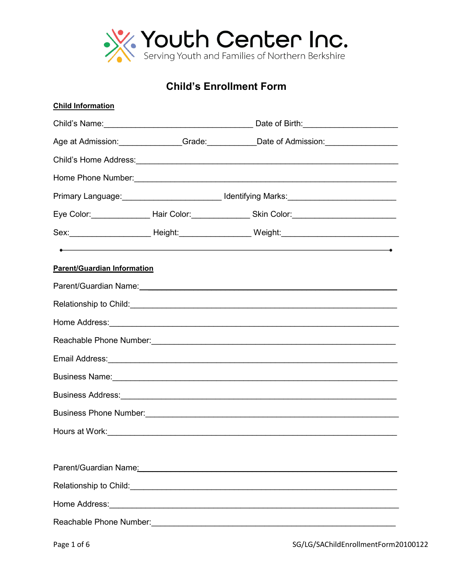

**Child's Enrollment Form** 

| <b>Child Information</b>                                                                                                                                                                                                             |                                                                                   |                                                                                                                                                                                                                                    |  |
|--------------------------------------------------------------------------------------------------------------------------------------------------------------------------------------------------------------------------------------|-----------------------------------------------------------------------------------|------------------------------------------------------------------------------------------------------------------------------------------------------------------------------------------------------------------------------------|--|
|                                                                                                                                                                                                                                      |                                                                                   |                                                                                                                                                                                                                                    |  |
|                                                                                                                                                                                                                                      |                                                                                   | Age at Admission: Communication Control of Admission: Communication:                                                                                                                                                               |  |
|                                                                                                                                                                                                                                      |                                                                                   |                                                                                                                                                                                                                                    |  |
|                                                                                                                                                                                                                                      |                                                                                   |                                                                                                                                                                                                                                    |  |
|                                                                                                                                                                                                                                      | Primary Language: ____________________________Identifying Marks: ________________ |                                                                                                                                                                                                                                    |  |
|                                                                                                                                                                                                                                      |                                                                                   |                                                                                                                                                                                                                                    |  |
|                                                                                                                                                                                                                                      |                                                                                   | Sex:___________________________Height:_____________________Weight:_________________________________                                                                                                                                |  |
|                                                                                                                                                                                                                                      |                                                                                   | $\bullet$ . The contract of the contract of the contract of the contract of the contract of the contract of the contract of the contract of the contract of the contract of the contract of the contract of the contract of the co |  |
| <b>Parent/Guardian Information</b>                                                                                                                                                                                                   |                                                                                   |                                                                                                                                                                                                                                    |  |
|                                                                                                                                                                                                                                      |                                                                                   | Parent/Guardian Name: 1997 - 2008 - 2010 - 2010 - 2010 - 2010 - 2011 - 2021 - 2021 - 2021 - 2021 - 2021 - 2021                                                                                                                     |  |
| Relationship to Child: <u>Conservation and the conservation of the conservation of the conservation</u>                                                                                                                              |                                                                                   |                                                                                                                                                                                                                                    |  |
|                                                                                                                                                                                                                                      |                                                                                   |                                                                                                                                                                                                                                    |  |
|                                                                                                                                                                                                                                      |                                                                                   |                                                                                                                                                                                                                                    |  |
|                                                                                                                                                                                                                                      |                                                                                   |                                                                                                                                                                                                                                    |  |
|                                                                                                                                                                                                                                      |                                                                                   |                                                                                                                                                                                                                                    |  |
|                                                                                                                                                                                                                                      |                                                                                   |                                                                                                                                                                                                                                    |  |
|                                                                                                                                                                                                                                      |                                                                                   | Business Phone Number: 2008 - 2009 - 2012 - 2014 - 2015 - 2016 - 2017 - 2018 - 2019 - 2019 - 2019 - 2019 - 201                                                                                                                     |  |
| Hours at Work:                                                                                                                                                                                                                       |                                                                                   |                                                                                                                                                                                                                                    |  |
|                                                                                                                                                                                                                                      |                                                                                   |                                                                                                                                                                                                                                    |  |
|                                                                                                                                                                                                                                      |                                                                                   | Parent/Guardian Name: William Contract Contract Contract Contract Contract Contract Contract Contract Contract Contract Contract Contract Contract Contract Contract Contract Contract Contract Contract Contract Contract Con     |  |
| Relationship to Child: <u>Cambridge Child: Child: Child: Child: Child: Child: Child: Child: Child: Child: Child: Child: Child: Child: Child: Child: Child: Child: Child: Child: Child: Child: Child: Child: Child: Child: Child:</u> |                                                                                   |                                                                                                                                                                                                                                    |  |
|                                                                                                                                                                                                                                      |                                                                                   |                                                                                                                                                                                                                                    |  |
|                                                                                                                                                                                                                                      |                                                                                   |                                                                                                                                                                                                                                    |  |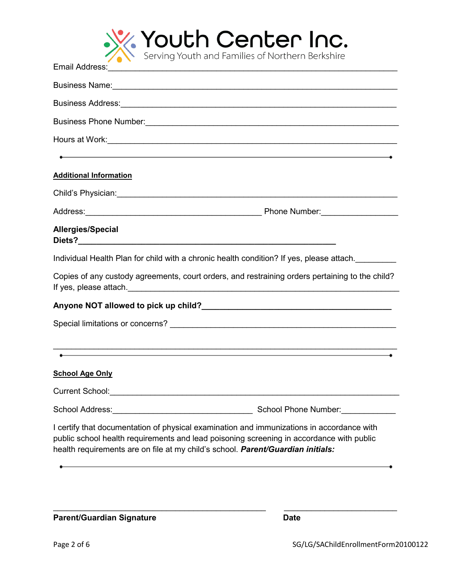

| Business Name: <b>Example 2018</b> Name: <b>Example 2018</b> Name: <b>Example 2018</b> Name: <b>Example 2018</b> Name: <b>Example 2018</b> Name: <b>Example 2018</b> Name: <b>Example 2018</b> Name: <b>Example 2018</b> Name: <b>Example 2018</b> Name: <b>Example 2018</b> Nam |                      |
|----------------------------------------------------------------------------------------------------------------------------------------------------------------------------------------------------------------------------------------------------------------------------------|----------------------|
|                                                                                                                                                                                                                                                                                  |                      |
|                                                                                                                                                                                                                                                                                  |                      |
|                                                                                                                                                                                                                                                                                  |                      |
| $\bullet$ . The contract of the contract of the contract of the contract of the contract of the contract of the contract of the contract of the contract of the contract of the contract of the contract of the contract of the co                                               |                      |
| <b>Additional Information</b>                                                                                                                                                                                                                                                    |                      |
|                                                                                                                                                                                                                                                                                  |                      |
|                                                                                                                                                                                                                                                                                  |                      |
| Allergies/Special                                                                                                                                                                                                                                                                |                      |
| Individual Health Plan for child with a chronic health condition? If yes, please attach.                                                                                                                                                                                         |                      |
| Copies of any custody agreements, court orders, and restraining orders pertaining to the child?                                                                                                                                                                                  |                      |
|                                                                                                                                                                                                                                                                                  |                      |
|                                                                                                                                                                                                                                                                                  |                      |
|                                                                                                                                                                                                                                                                                  |                      |
| ,我们也不会有什么。""我们的人,我们也不会有什么?""我们的人,我们也不会有什么?""我们的人,我们也不会有什么?""我们的人,我们也不会有什么?""我们的人                                                                                                                                                                                                 |                      |
| <b>School Age Only</b>                                                                                                                                                                                                                                                           |                      |
| <b>Current School:</b>                                                                                                                                                                                                                                                           |                      |
| School Address:<br><u> 1980 - Johann Barn, mars eta bainar eta bainar eta baina eta baina eta baina eta baina eta baina eta baina e</u>                                                                                                                                          | School Phone Number: |
| I certify that documentation of physical examination and immunizations in accordance with<br>public school health requirements and lead poisoning screening in accordance with public<br>health requirements are on file at my child's school. Parent/Guardian initials:         |                      |
|                                                                                                                                                                                                                                                                                  |                      |

\_\_\_\_\_\_\_\_\_\_\_\_\_\_\_\_\_\_\_\_\_\_\_\_\_\_\_\_\_\_\_\_\_\_\_\_\_\_\_\_\_\_\_\_\_\_\_ \_\_\_\_\_\_\_\_\_\_\_\_\_\_\_\_\_\_\_\_\_\_\_\_\_

Parent/Guardian Signature **Date** Date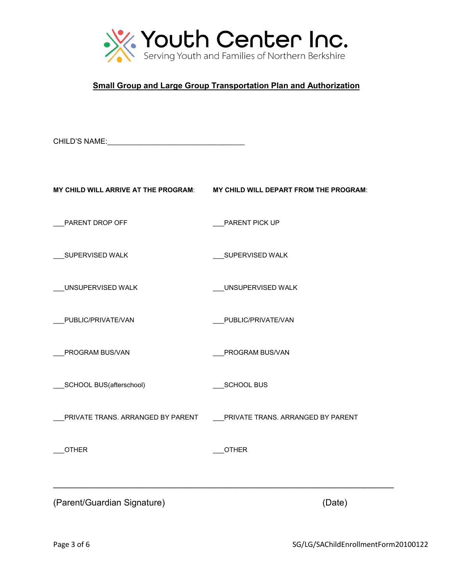

## **Small Group and Large Group Transportation Plan and Authorization**

CHILD'S NAME:\_\_\_\_\_\_\_\_\_\_\_\_\_\_\_\_\_\_\_\_\_\_\_\_\_\_\_\_\_\_\_\_\_\_\_\_\_

| MY CHILD WILL ARRIVE AT THE PROGRAM: | MY CHILD WILL DEPART FROM THE PROGRAM: |  |
|--------------------------------------|----------------------------------------|--|
| PARENT DROP OFF                      | PARENT PICK UP                         |  |
| SUPERVISED WALK                      | SUPERVISED WALK                        |  |
| UNSUPERVISED WALK                    | UNSUPERVISED WALK                      |  |
| PUBLIC/PRIVATE/VAN                   | PUBLIC/PRIVATE/VAN                     |  |
| PROGRAM BUS/VAN                      | PROGRAM BUS/VAN                        |  |
| SCHOOL BUS(afterschool)              | SCHOOL BUS                             |  |
| PRIVATE TRANS. ARRANGED BY PARENT    | PRIVATE TRANS. ARRANGED BY PARENT      |  |
| <b>OTHER</b>                         | <b>OTHER</b>                           |  |
|                                      |                                        |  |
| (Parent/Guardian Signature)          | (Date)                                 |  |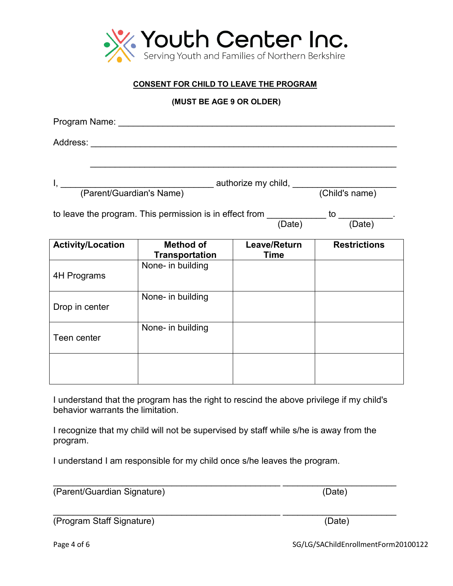

## **CONSENT FOR CHILD TO LEAVE THE PROGRAM**

**(MUST BE AGE 9 OR OLDER)**

| Program Name: _______                                                                         |                                           |                             |                     |
|-----------------------------------------------------------------------------------------------|-------------------------------------------|-----------------------------|---------------------|
|                                                                                               |                                           |                             |                     |
|                                                                                               |                                           |                             |                     |
| to leave the program. This permission is in effect from ___________ to ___________.<br>(Date) |                                           | (Date)                      |                     |
| <b>Activity/Location</b>                                                                      | <b>Method of</b><br><b>Transportation</b> | Leave/Return<br><b>Time</b> | <b>Restrictions</b> |
| 4H Programs                                                                                   | None- in building                         |                             |                     |
| Drop in center                                                                                | None- in building                         |                             |                     |
| Teen center                                                                                   | None- in building                         |                             |                     |
|                                                                                               |                                           |                             |                     |

I understand that the program has the right to rescind the above privilege if my child's behavior warrants the limitation.

I recognize that my child will not be supervised by staff while s/he is away from the program.

\_\_\_\_\_\_\_\_\_\_\_\_\_\_\_\_\_\_\_\_\_\_\_\_\_\_\_\_\_\_\_\_\_\_\_\_\_\_\_\_\_\_\_\_\_\_ \_\_\_\_\_\_\_\_\_\_\_\_\_\_\_\_\_\_\_\_\_\_\_

I understand I am responsible for my child once s/he leaves the program.

(Parent/Guardian Signature) (Date)

\_\_\_\_\_\_\_\_\_\_\_\_\_\_\_\_\_\_\_\_\_\_\_\_\_\_\_\_\_\_\_\_\_\_\_\_\_\_\_\_\_\_\_\_\_\_ \_\_\_\_\_\_\_\_\_\_\_\_\_\_\_\_\_\_\_\_\_\_\_ (Program Staff Signature) (Date)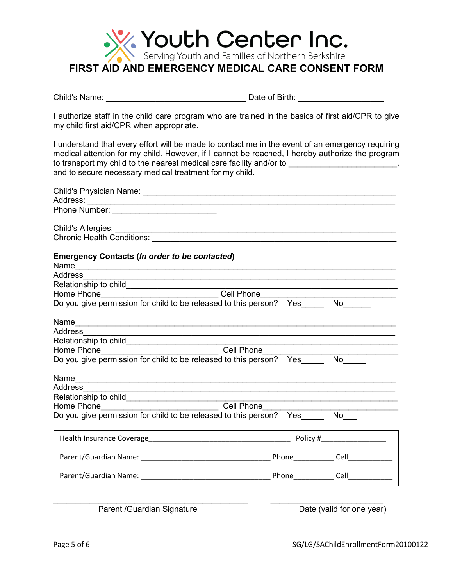

Child's Name: \_\_\_\_\_\_\_\_\_\_\_\_\_\_\_\_\_\_\_\_\_\_\_\_\_\_\_\_\_\_\_ Date of Birth: \_\_\_\_\_\_\_\_\_\_\_\_\_\_\_\_\_\_\_

I authorize staff in the child care program who are trained in the basics of first aid/CPR to give my child first aid/CPR when appropriate.

I understand that every effort will be made to contact me in the event of an emergency requiring medical attention for my child. However, if I cannot be reached, I hereby authorize the program to transport my child to the nearest medical care facility and/or to \_\_\_\_\_\_\_\_\_\_\_\_\_\_\_\_\_\_\_\_\_\_\_, and to secure necessary medical treatment for my child.

| <b>Emergency Contacts (In order to be contacted)</b>                              |                           |
|-----------------------------------------------------------------------------------|---------------------------|
|                                                                                   |                           |
|                                                                                   |                           |
|                                                                                   |                           |
|                                                                                   |                           |
|                                                                                   |                           |
| Address                                                                           |                           |
|                                                                                   |                           |
|                                                                                   |                           |
|                                                                                   |                           |
|                                                                                   |                           |
| Address                                                                           |                           |
|                                                                                   |                           |
| Home Phone__________________________________Cell Phone___________________________ |                           |
| Do you give permission for child to be released to this person? Yes______ No___   |                           |
|                                                                                   |                           |
|                                                                                   |                           |
|                                                                                   |                           |
|                                                                                   |                           |
| Parent /Guardian Signature                                                        | Date (valid for one year) |